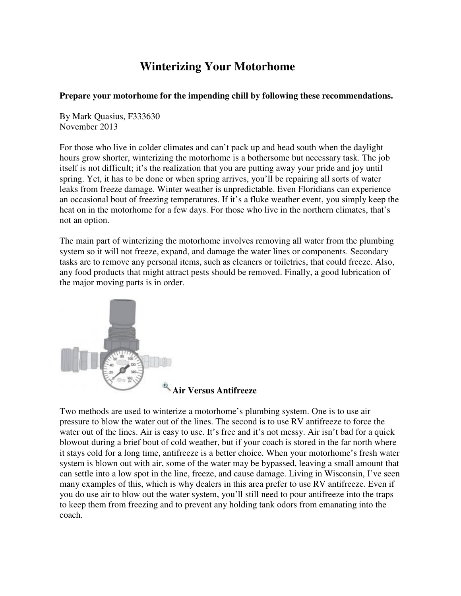# **Winterizing Your Motorhome**

### **Prepare your motorhome for the impending chill by following these recommendations.**

By Mark Quasius, F333630 November 2013

For those who live in colder climates and can't pack up and head south when the daylight hours grow shorter, winterizing the motorhome is a bothersome but necessary task. The job itself is not difficult; it's the realization that you are putting away your pride and joy until spring. Yet, it has to be done or when spring arrives, you'll be repairing all sorts of water leaks from freeze damage. Winter weather is unpredictable. Even Floridians can experience an occasional bout of freezing temperatures. If it's a fluke weather event, you simply keep the heat on in the motorhome for a few days. For those who live in the northern climates, that's not an option.

The main part of winterizing the motorhome involves removing all water from the plumbing system so it will not freeze, expand, and damage the water lines or components. Secondary tasks are to remove any personal items, such as cleaners or toiletries, that could freeze. Also, any food products that might attract pests should be removed. Finally, a good lubrication of the major moving parts is in order.



Two methods are used to winterize a motorhome's plumbing system. One is to use air pressure to blow the water out of the lines. The second is to use RV antifreeze to force the water out of the lines. Air is easy to use. It's free and it's not messy. Air isn't bad for a quick blowout during a brief bout of cold weather, but if your coach is stored in the far north where it stays cold for a long time, antifreeze is a better choice. When your motorhome's fresh water system is blown out with air, some of the water may be bypassed, leaving a small amount that can settle into a low spot in the line, freeze, and cause damage. Living in Wisconsin, I've seen many examples of this, which is why dealers in this area prefer to use RV antifreeze. Even if you do use air to blow out the water system, you'll still need to pour antifreeze into the traps to keep them from freezing and to prevent any holding tank odors from emanating into the coach.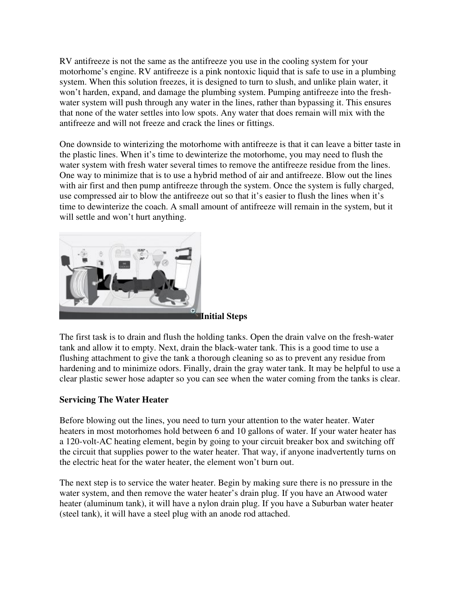RV antifreeze is not the same as the antifreeze you use in the cooling system for your motorhome's engine. RV antifreeze is a pink nontoxic liquid that is safe to use in a plumbing system. When this solution freezes, it is designed to turn to slush, and unlike plain water, it won't harden, expand, and damage the plumbing system. Pumping antifreeze into the freshwater system will push through any water in the lines, rather than bypassing it. This ensures that none of the water settles into low spots. Any water that does remain will mix with the antifreeze and will not freeze and crack the lines or fittings.

One downside to winterizing the motorhome with antifreeze is that it can leave a bitter taste in the plastic lines. When it's time to dewinterize the motorhome, you may need to flush the water system with fresh water several times to remove the antifreeze residue from the lines. One way to minimize that is to use a hybrid method of air and antifreeze. Blow out the lines with air first and then pump antifreeze through the system. Once the system is fully charged, use compressed air to blow the antifreeze out so that it's easier to flush the lines when it's time to dewinterize the coach. A small amount of antifreeze will remain in the system, but it will settle and won't hurt anything.



The first task is to drain and flush the holding tanks. Open the drain valve on the fresh-water tank and allow it to empty. Next, drain the black-water tank. This is a good time to use a flushing attachment to give the tank a thorough cleaning so as to prevent any residue from hardening and to minimize odors. Finally, drain the gray water tank. It may be helpful to use a clear plastic sewer hose adapter so you can see when the water coming from the tanks is clear.

## **Servicing The Water Heater**

Before blowing out the lines, you need to turn your attention to the water heater. Water heaters in most motorhomes hold between 6 and 10 gallons of water. If your water heater has a 120-volt-AC heating element, begin by going to your circuit breaker box and switching off the circuit that supplies power to the water heater. That way, if anyone inadvertently turns on the electric heat for the water heater, the element won't burn out.

The next step is to service the water heater. Begin by making sure there is no pressure in the water system, and then remove the water heater's drain plug. If you have an Atwood water heater (aluminum tank), it will have a nylon drain plug. If you have a Suburban water heater (steel tank), it will have a steel plug with an anode rod attached.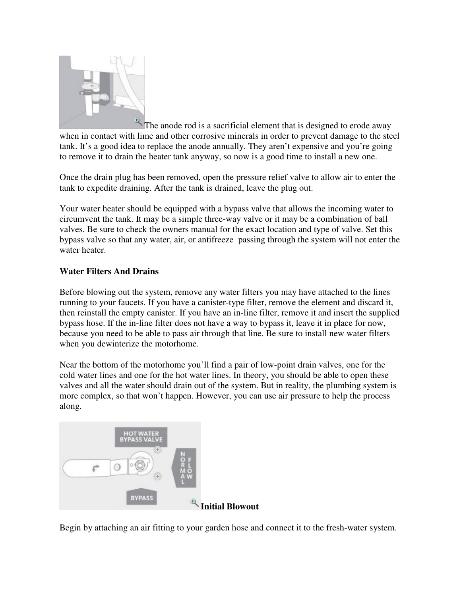

 $\overrightarrow{P}$ . The anode rod is a sacrificial element that is designed to erode away when in contact with lime and other corrosive minerals in order to prevent damage to the steel tank. It's a good idea to replace the anode annually. They aren't expensive and you're going to remove it to drain the heater tank anyway, so now is a good time to install a new one.

Once the drain plug has been removed, open the pressure relief valve to allow air to enter the tank to expedite draining. After the tank is drained, leave the plug out.

Your water heater should be equipped with a bypass valve that allows the incoming water to circumvent the tank. It may be a simple three-way valve or it may be a combination of ball valves. Be sure to check the owners manual for the exact location and type of valve. Set this bypass valve so that any water, air, or antifreeze passing through the system will not enter the water heater.

## **Water Filters And Drains**

Before blowing out the system, remove any water filters you may have attached to the lines running to your faucets. If you have a canister-type filter, remove the element and discard it, then reinstall the empty canister. If you have an in-line filter, remove it and insert the supplied bypass hose. If the in-line filter does not have a way to bypass it, leave it in place for now, because you need to be able to pass air through that line. Be sure to install new water filters when you dewinterize the motorhome.

Near the bottom of the motorhome you'll find a pair of low-point drain valves, one for the cold water lines and one for the hot water lines. In theory, you should be able to open these valves and all the water should drain out of the system. But in reality, the plumbing system is more complex, so that won't happen. However, you can use air pressure to help the process along.



Begin by attaching an air fitting to your garden hose and connect it to the fresh-water system.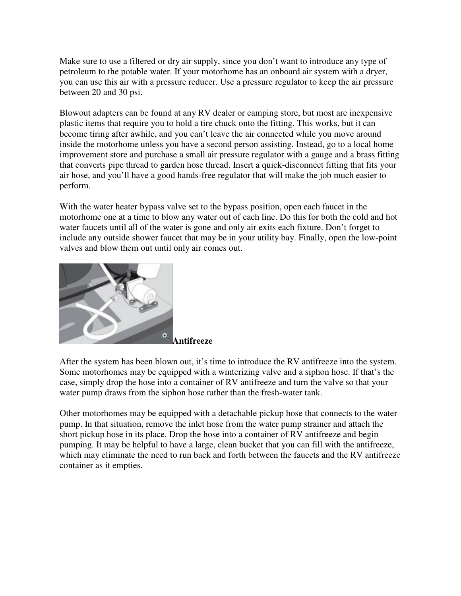Make sure to use a filtered or dry air supply, since you don't want to introduce any type of petroleum to the potable water. If your motorhome has an onboard air system with a dryer, you can use this air with a pressure reducer. Use a pressure regulator to keep the air pressure between 20 and 30 psi.

Blowout adapters can be found at any RV dealer or camping store, but most are inexpensive plastic items that require you to hold a tire chuck onto the fitting. This works, but it can become tiring after awhile, and you can't leave the air connected while you move around inside the motorhome unless you have a second person assisting. Instead, go to a local home improvement store and purchase a small air pressure regulator with a gauge and a brass fitting that converts pipe thread to garden hose thread. Insert a quick-disconnect fitting that fits your air hose, and you'll have a good hands-free regulator that will make the job much easier to perform.

With the water heater bypass valve set to the bypass position, open each faucet in the motorhome one at a time to blow any water out of each line. Do this for both the cold and hot water faucets until all of the water is gone and only air exits each fixture. Don't forget to include any outside shower faucet that may be in your utility bay. Finally, open the low-point valves and blow them out until only air comes out.



After the system has been blown out, it's time to introduce the RV antifreeze into the system. Some motorhomes may be equipped with a winterizing valve and a siphon hose. If that's the case, simply drop the hose into a container of RV antifreeze and turn the valve so that your water pump draws from the siphon hose rather than the fresh-water tank.

Other motorhomes may be equipped with a detachable pickup hose that connects to the water pump. In that situation, remove the inlet hose from the water pump strainer and attach the short pickup hose in its place. Drop the hose into a container of RV antifreeze and begin pumping. It may be helpful to have a large, clean bucket that you can fill with the antifreeze, which may eliminate the need to run back and forth between the faucets and the RV antifreeze container as it empties.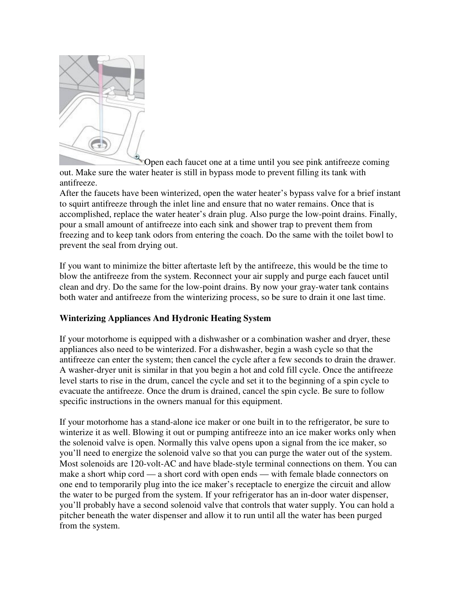

Open each faucet one at a time until you see pink antifreeze coming out. Make sure the water heater is still in bypass mode to prevent filling its tank with antifreeze.

After the faucets have been winterized, open the water heater's bypass valve for a brief instant to squirt antifreeze through the inlet line and ensure that no water remains. Once that is accomplished, replace the water heater's drain plug. Also purge the low-point drains. Finally, pour a small amount of antifreeze into each sink and shower trap to prevent them from freezing and to keep tank odors from entering the coach. Do the same with the toilet bowl to prevent the seal from drying out.

If you want to minimize the bitter aftertaste left by the antifreeze, this would be the time to blow the antifreeze from the system. Reconnect your air supply and purge each faucet until clean and dry. Do the same for the low-point drains. By now your gray-water tank contains both water and antifreeze from the winterizing process, so be sure to drain it one last time.

## **Winterizing Appliances And Hydronic Heating System**

If your motorhome is equipped with a dishwasher or a combination washer and dryer, these appliances also need to be winterized. For a dishwasher, begin a wash cycle so that the antifreeze can enter the system; then cancel the cycle after a few seconds to drain the drawer. A washer-dryer unit is similar in that you begin a hot and cold fill cycle. Once the antifreeze level starts to rise in the drum, cancel the cycle and set it to the beginning of a spin cycle to evacuate the antifreeze. Once the drum is drained, cancel the spin cycle. Be sure to follow specific instructions in the owners manual for this equipment.

If your motorhome has a stand-alone ice maker or one built in to the refrigerator, be sure to winterize it as well. Blowing it out or pumping antifreeze into an ice maker works only when the solenoid valve is open. Normally this valve opens upon a signal from the ice maker, so you'll need to energize the solenoid valve so that you can purge the water out of the system. Most solenoids are 120-volt-AC and have blade-style terminal connections on them. You can make a short whip cord — a short cord with open ends — with female blade connectors on one end to temporarily plug into the ice maker's receptacle to energize the circuit and allow the water to be purged from the system. If your refrigerator has an in-door water dispenser, you'll probably have a second solenoid valve that controls that water supply. You can hold a pitcher beneath the water dispenser and allow it to run until all the water has been purged from the system.